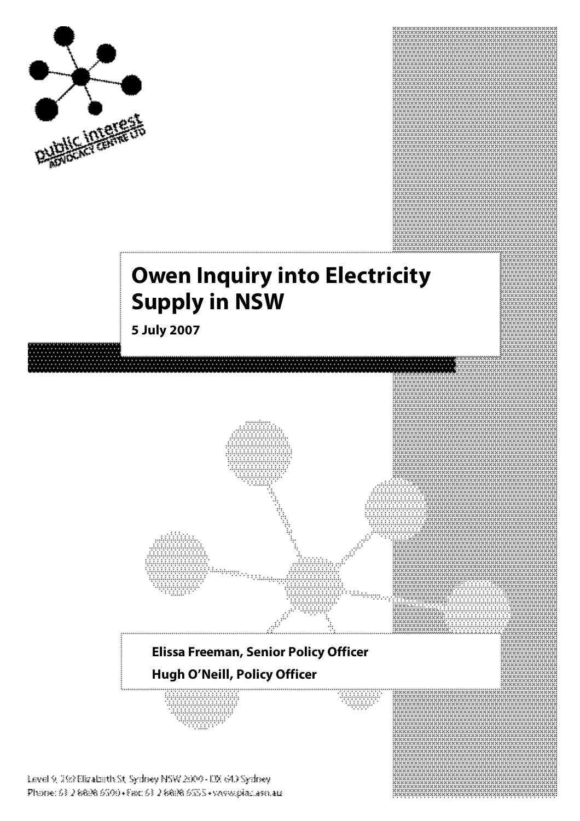

# **Owen Inquiry into Electricity**



## **Hugh O'Neill, Policy Officer**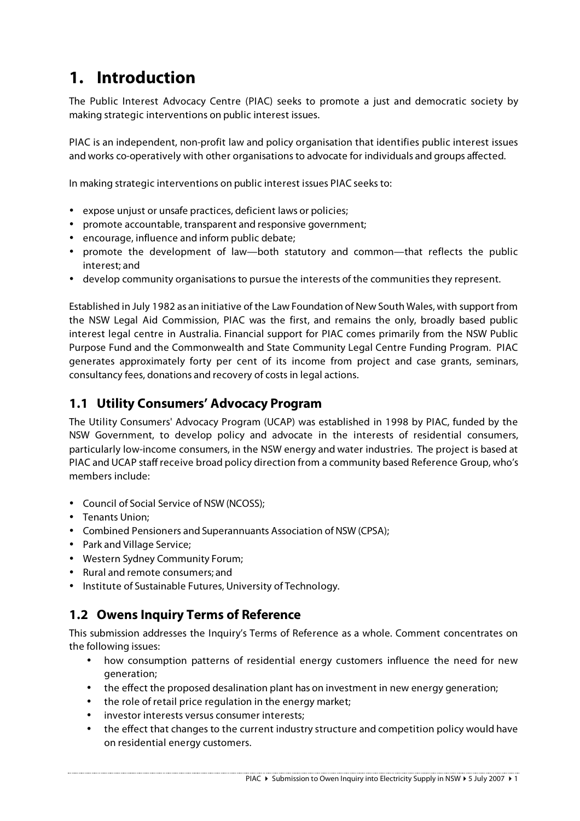## **1. Introduction**

The Public Interest Advocacy Centre (PIAC) seeks to promote a just and democratic society by making strategic interventions on public interest issues.

PIAC is an independent, non-profit law and policy organisation that identifies public interest issues and works co-operatively with other organisations to advocate for individuals and groups affected.

In making strategic interventions on public interest issues PIAC seeks to:

- expose unjust or unsafe practices, deficient laws or policies;
- promote accountable, transparent and responsive government;
- encourage, influence and inform public debate;
- promote the development of law—both statutory and common—that reflects the public interest; and
- develop community organisations to pursue the interests of the communities they represent.

Established in July 1982 as an initiative of the Law Foundation of New South Wales, with support from the NSW Legal Aid Commission, PIAC was the first, and remains the only, broadly based public interest legal centre in Australia. Financial support for PIAC comes primarily from the NSW Public Purpose Fund and the Commonwealth and State Community Legal Centre Funding Program. PIAC generates approximately forty per cent of its income from project and case grants, seminars, consultancy fees, donations and recovery of costs in legal actions.

#### **1.1 Utility Consumers' Advocacy Program**

The Utility Consumers' Advocacy Program (UCAP) was established in 1998 by PIAC, funded by the NSW Government, to develop policy and advocate in the interests of residential consumers, particularly low-income consumers, in the NSW energy and water industries. The project is based at PIAC and UCAP staff receive broad policy direction from a community based Reference Group, who's members include:

- Council of Social Service of NSW (NCOSS);
- Tenants Union;
- Combined Pensioners and Superannuants Association of NSW (CPSA);
- Park and Village Service;
- Western Sydney Community Forum;
- Rural and remote consumers; and
- Institute of Sustainable Futures, University of Technology.

#### **1.2 Owens Inquiry Terms of Reference**

This submission addresses the Inquiry's Terms of Reference as a whole. Comment concentrates on the following issues:

- how consumption patterns of residential energy customers influence the need for new generation;
- the effect the proposed desalination plant has on investment in new energy generation;
- the role of retail price regulation in the energy market;
- investor interests versus consumer interests;
- the effect that changes to the current industry structure and competition policy would have on residential energy customers.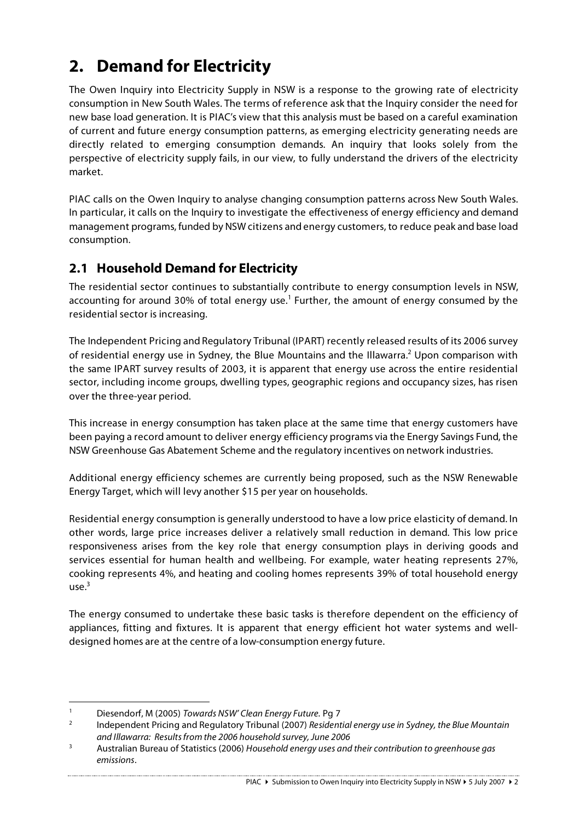## **2. Demand for Electricity**

The Owen Inquiry into Electricity Supply in NSW is a response to the growing rate of electricity consumption in New South Wales. The terms of reference ask that the Inquiry consider the need for new base load generation. It is PIAC's view that this analysis must be based on a careful examination of current and future energy consumption patterns, as emerging electricity generating needs are directly related to emerging consumption demands. An inquiry that looks solely from the perspective of electricity supply fails, in our view, to fully understand the drivers of the electricity market.

PIAC calls on the Owen Inquiry to analyse changing consumption patterns across New South Wales. In particular, it calls on the Inquiry to investigate the effectiveness of energy efficiency and demand management programs, funded by NSW citizens and energy customers, to reduce peak and base load consumption.

### **2.1 Household Demand for Electricity**

The residential sector continues to substantially contribute to energy consumption levels in NSW, accounting for around 30% of total energy use.<sup>1</sup> Further, the amount of energy consumed by the residential sector is increasing.

The Independent Pricing and Regulatory Tribunal (IPART) recently released results of its 2006 survey of residential energy use in Sydney, the Blue Mountains and the Illawarra.<sup>2</sup> Upon comparison with the same IPART survey results of 2003, it is apparent that energy use across the entire residential sector, including income groups, dwelling types, geographic regions and occupancy sizes, has risen over the three-year period.

This increase in energy consumption has taken place at the same time that energy customers have been paying a record amount to deliver energy efficiency programs via the Energy Savings Fund, the NSW Greenhouse Gas Abatement Scheme and the regulatory incentives on network industries.

Additional energy efficiency schemes are currently being proposed, such as the NSW Renewable Energy Target, which will levy another \$15 per year on households.

Residential energy consumption is generally understood to have a low price elasticity of demand. In other words, large price increases deliver a relatively small reduction in demand. This low price responsiveness arises from the key role that energy consumption plays in deriving goods and services essential for human health and wellbeing. For example, water heating represents 27%, cooking represents 4%, and heating and cooling homes represents 39% of total household energy use. 3

The energy consumed to undertake these basic tasks is therefore dependent on the efficiency of appliances, fitting and fixtures. It is apparent that energy efficient hot water systems and welldesigned homes are at the centre of a low-consumption energy future.

<sup>1</sup> Diesendorf, M (2005) Towards NSW' Clean Energy Future. Pg 7

Independent Pricing and Regulatory Tribunal (2007) Residential energy use in Sydney, the Blue Mountain and Illawarra: Results from the 2006 household survey, June 2006

<sup>&</sup>lt;sup>3</sup> Australian Bureau of Statistics (2006) Household energy uses and their contribution to greenhouse gas emissions.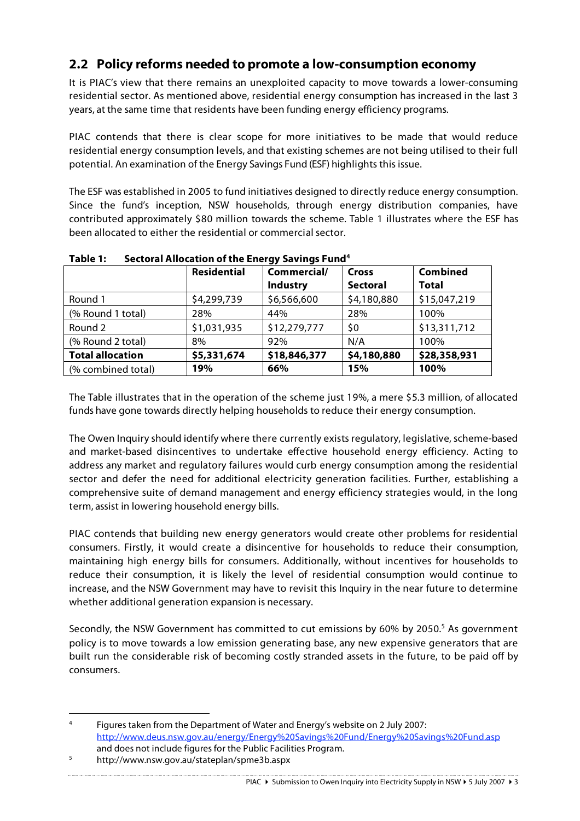### **2.2 Policy reforms needed to promote a low-consumption economy**

It is PIAC's view that there remains an unexploited capacity to move towards a lower-consuming residential sector. As mentioned above, residential energy consumption has increased in the last 3 years, at the same time that residents have been funding energy efficiency programs.

PIAC contends that there is clear scope for more initiatives to be made that would reduce residential energy consumption levels, and that existing schemes are not being utilised to their full potential. An examination of the Energy Savings Fund (ESF) highlights this issue.

The ESF was established in 2005 to fund initiatives designed to directly reduce energy consumption. Since the fund's inception, NSW households, through energy distribution companies, have contributed approximately \$80 million towards the scheme. Table 1 illustrates where the ESF has been allocated to either the residential or commercial sector.

|                         | <b>Residential</b> | Commercial/  | Cross           | <b>Combined</b> |
|-------------------------|--------------------|--------------|-----------------|-----------------|
|                         |                    | Industry     | <b>Sectoral</b> | <b>Total</b>    |
| Round 1                 | \$4,299,739        | \$6,566,600  | \$4,180,880     | \$15,047,219    |
| (% Round 1 total)       | 28%                | 44%          | 28%             | 100%            |
| Round 2                 | \$1,031,935        | \$12,279,777 | \$0             | \$13,311,712    |
| (% Round 2 total)       | 8%                 | 92%          | N/A             | 100%            |
| <b>Total allocation</b> | \$5,331,674        | \$18,846,377 | \$4,180,880     | \$28,358,931    |
| (% combined total)      | 19%                | 66%          | 15%             | 100%            |

**Table 1: Sectoral Allocation of the Energy Savings Fund4**

The Table illustrates that in the operation of the scheme just 19%, a mere \$5.3 million, of allocated funds have gone towards directly helping households to reduce their energy consumption.

The Owen Inquiry should identify where there currently exists regulatory, legislative, scheme-based and market-based disincentives to undertake effective household energy efficiency. Acting to address any market and regulatory failures would curb energy consumption among the residential sector and defer the need for additional electricity generation facilities. Further, establishing a comprehensive suite of demand management and energy efficiency strategies would, in the long term, assist in lowering household energy bills.

PIAC contends that building new energy generators would create other problems for residential consumers. Firstly, it would create a disincentive for households to reduce their consumption, maintaining high energy bills for consumers. Additionally, without incentives for households to reduce their consumption, it is likely the level of residential consumption would continue to increase, and the NSW Government may have to revisit this Inquiry in the near future to determine whether additional generation expansion is necessary.

Secondly, the NSW Government has committed to cut emissions by 60% by 2050.<sup>5</sup> As government policy is to move towards a low emission generating base, any new expensive generators that are built run the considerable risk of becoming costly stranded assets in the future, to be paid off by consumers.

#### PIAC ▶ Submission to Owen Inquiry into Electricity Supply in NSW ▶ 5 July 2007 ▶ 3

 <sup>4</sup> Figures taken from the Department of Water and Energy's website on <sup>2</sup> July 2007: http://www.deus.nsw.gov.au/energy/Energy%20Savings%20Fund/Energy%20Savings%20Fund.asp and does not include figures for the Public Facilities Program.

<sup>5</sup> http://www.nsw.gov.au/stateplan/spme3b.aspx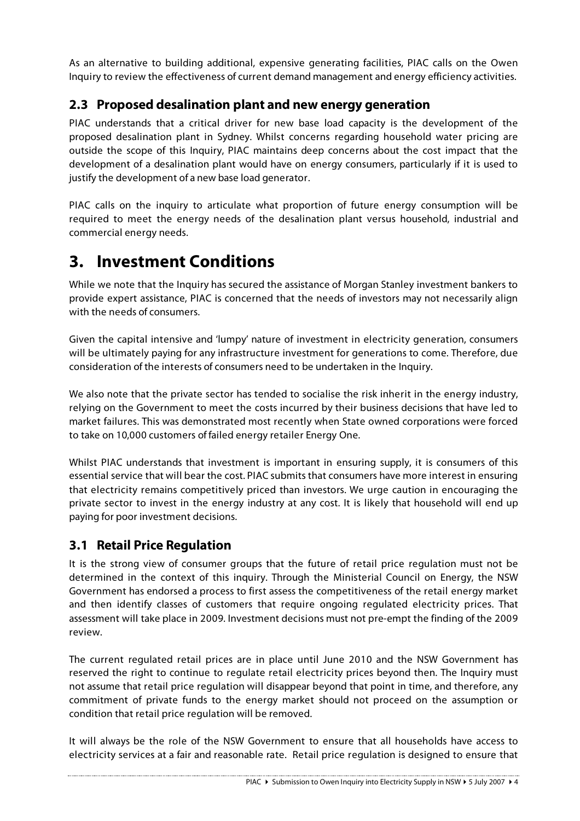As an alternative to building additional, expensive generating facilities, PIAC calls on the Owen Inquiry to review the effectiveness of current demand management and energy efficiency activities.

#### **2.3 Proposed desalination plant and new energy generation**

PIAC understands that a critical driver for new base load capacity is the development of the proposed desalination plant in Sydney. Whilst concerns regarding household water pricing are outside the scope of this Inquiry, PIAC maintains deep concerns about the cost impact that the development of a desalination plant would have on energy consumers, particularly if it is used to justify the development of a new base load generator.

PIAC calls on the inquiry to articulate what proportion of future energy consumption will be required to meet the energy needs of the desalination plant versus household, industrial and commercial energy needs.

## **3. Investment Conditions**

While we note that the Inquiry has secured the assistance of Morgan Stanley investment bankers to provide expert assistance, PIAC is concerned that the needs of investors may not necessarily align with the needs of consumers.

Given the capital intensive and 'lumpy' nature of investment in electricity generation, consumers will be ultimately paying for any infrastructure investment for generations to come. Therefore, due consideration of the interests of consumers need to be undertaken in the Inquiry.

We also note that the private sector has tended to socialise the risk inherit in the energy industry, relying on the Government to meet the costs incurred by their business decisions that have led to market failures. This was demonstrated most recently when State owned corporations were forced to take on 10,000 customers of failed energy retailer Energy One.

Whilst PIAC understands that investment is important in ensuring supply, it is consumers of this essential service that will bear the cost. PIAC submits that consumers have more interest in ensuring that electricity remains competitively priced than investors. We urge caution in encouraging the private sector to invest in the energy industry at any cost. It is likely that household will end up paying for poor investment decisions.

#### **3.1 Retail Price Regulation**

It is the strong view of consumer groups that the future of retail price regulation must not be determined in the context of this inquiry. Through the Ministerial Council on Energy, the NSW Government has endorsed a process to first assess the competitiveness of the retail energy market and then identify classes of customers that require ongoing regulated electricity prices. That assessment will take place in 2009. Investment decisions must not pre-empt the finding of the 2009 review.

The current regulated retail prices are in place until June 2010 and the NSW Government has reserved the right to continue to regulate retail electricity prices beyond then. The Inquiry must not assume that retail price regulation will disappear beyond that point in time, and therefore, any commitment of private funds to the energy market should not proceed on the assumption or condition that retail price regulation will be removed.

It will always be the role of the NSW Government to ensure that all households have access to electricity services at a fair and reasonable rate. Retail price regulation is designed to ensure that